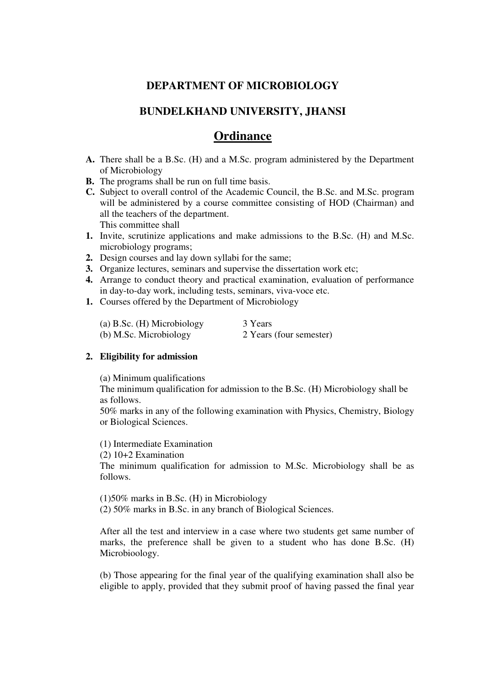# **DEPARTMENT OF MICROBIOLOGY**

# **BUNDELKHAND UNIVERSITY, JHANSI**

# **Ordinance**

- **A.** There shall be a B.Sc. (H) and a M.Sc. program administered by the Department of Microbiology
- **B.** The programs shall be run on full time basis.
- **C.** Subject to overall control of the Academic Council, the B.Sc. and M.Sc. program will be administered by a course committee consisting of HOD (Chairman) and all the teachers of the department. This committee shall
- **1.** Invite, scrutinize applications and make admissions to the B.Sc. (H) and M.Sc. microbiology programs;
- **2.** Design courses and lay down syllabi for the same;
- **3.** Organize lectures, seminars and supervise the dissertation work etc;
- **4.** Arrange to conduct theory and practical examination, evaluation of performance in day-to-day work, including tests, seminars, viva-voce etc.
- **1.** Courses offered by the Department of Microbiology

| (a) B.Sc. $(H)$ Microbiology | 3 Years                 |
|------------------------------|-------------------------|
| (b) M.Sc. Microbiology       | 2 Years (four semester) |

# **2. Eligibility for admission**

(a) Minimum qualifications

 The minimum qualification for admission to the B.Sc. (H) Microbiology shall be as follows.

 50% marks in any of the following examination with Physics, Chemistry, Biology or Biological Sciences.

(1) Intermediate Examination

(2) 10+2 Examination

 The minimum qualification for admission to M.Sc. Microbiology shall be as follows.

(1)50% marks in B.Sc. (H) in Microbiology

(2) 50% marks in B.Sc. in any branch of Biological Sciences.

 After all the test and interview in a case where two students get same number of marks, the preference shall be given to a student who has done B.Sc. (H) Microbioology.

 (b) Those appearing for the final year of the qualifying examination shall also be eligible to apply, provided that they submit proof of having passed the final year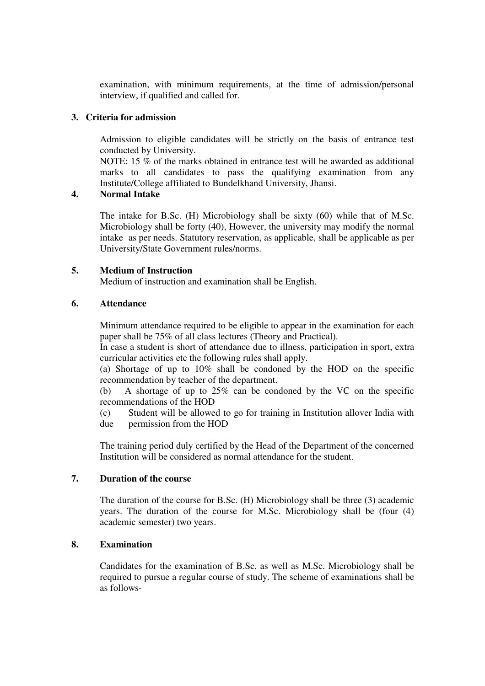examination, with minimum requirements, at the time of admission/personal interview, if qualified and called for.

#### **3. Criteria for admission**

 Admission to eligible candidates will be strictly on the basis of entrance test conducted by University.

 NOTE: 15 % of the marks obtained in entrance test will be awarded as additional marks to all candidates to pass the qualifying examination from any Institute/College affiliated to Bundelkhand University, Jhansi.

# **4. Normal Intake**

 The intake for B.Sc. (H) Microbiology shall be sixty (60) while that of M.Sc. Microbiology shall be forty (40), However, the university may modify the normal intake as per needs. Statutory reservation, as applicable, shall be applicable as per University/State Government rules/norms.

#### **5. Medium of Instruction**

Medium of instruction and examination shall be English.

#### **6. Attendance**

 Minimum attendance required to be eligible to appear in the examination for each paper shall be 75% of all class lectures (Theory and Practical).

 In case a student is short of attendance due to illness, participation in sport, extra curricular activities etc the following rules shall apply.

 (a) Shortage of up to 10% shall be condoned by the HOD on the specific recommendation by teacher of the department.

 (b) A shortage of up to 25% can be condoned by the VC on the specific recommendations of the HOD

 (c) Student will be allowed to go for training in Institution allover India with due permission from the HOD

 The training period duly certified by the Head of the Department of the concerned Institution will be considered as normal attendance for the student.

### **7. Duration of the course**

 The duration of the course for B.Sc. (H) Microbiology shall be three (3) academic years. The duration of the course for M.Sc. Microbiology shall be (four (4) academic semester) two years.

# **8. Examination**

 Candidates for the examination of B.Sc. as well as M.Sc. Microbiology shall be required to pursue a regular course of study. The scheme of examinations shall be as follows-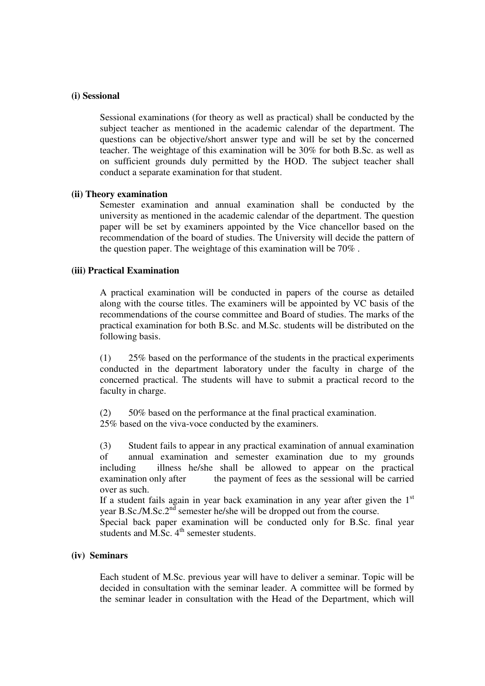#### **(i) Sessional**

 Sessional examinations (for theory as well as practical) shall be conducted by the subject teacher as mentioned in the academic calendar of the department. The questions can be objective/short answer type and will be set by the concerned teacher. The weightage of this examination will be 30% for both B.Sc. as well as on sufficient grounds duly permitted by the HOD. The subject teacher shall conduct a separate examination for that student.

#### **(ii) Theory examination**

 Semester examination and annual examination shall be conducted by the university as mentioned in the academic calendar of the department. The question paper will be set by examiners appointed by the Vice chancellor based on the recommendation of the board of studies. The University will decide the pattern of the question paper. The weightage of this examination will be 70% .

### **(iii) Practical Examination**

 A practical examination will be conducted in papers of the course as detailed along with the course titles. The examiners will be appointed by VC basis of the recommendations of the course committee and Board of studies. The marks of the practical examination for both B.Sc. and M.Sc. students will be distributed on the following basis.

 (1) 25% based on the performance of the students in the practical experiments conducted in the department laboratory under the faculty in charge of the concerned practical. The students will have to submit a practical record to the faculty in charge.

 (2) 50% based on the performance at the final practical examination. 25% based on the viva-voce conducted by the examiners.

 (3) Student fails to appear in any practical examination of annual examination of annual examination and semester examination due to my grounds including illness he/she shall be allowed to appear on the practical examination only after the payment of fees as the sessional will be carried over as such.

If a student fails again in year back examination in any year after given the  $1<sup>st</sup>$ year B.Sc./M.Sc.2<sup>nd</sup> semester he/she will be dropped out from the course.

 Special back paper examination will be conducted only for B.Sc. final year students and M.Sc.  $4<sup>th</sup>$  semester students.

#### **(iv) Seminars**

 Each student of M.Sc. previous year will have to deliver a seminar. Topic will be decided in consultation with the seminar leader. A committee will be formed by the seminar leader in consultation with the Head of the Department, which will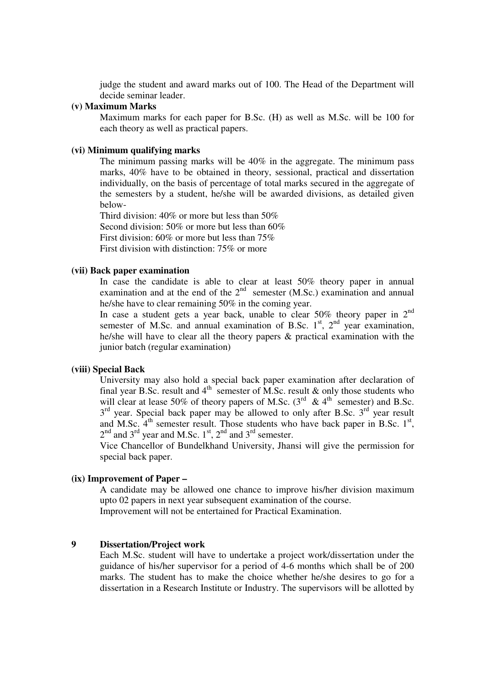judge the student and award marks out of 100. The Head of the Department will decide seminar leader.

#### **(v) Maximum Marks**

 Maximum marks for each paper for B.Sc. (H) as well as M.Sc. will be 100 for each theory as well as practical papers.

#### **(vi) Minimum qualifying marks**

 The minimum passing marks will be 40% in the aggregate. The minimum pass marks, 40% have to be obtained in theory, sessional, practical and dissertation individually, on the basis of percentage of total marks secured in the aggregate of the semesters by a student, he/she will be awarded divisions, as detailed given below-

 Third division: 40% or more but less than 50% Second division: 50% or more but less than 60% First division: 60% or more but less than 75% First division with distinction: 75% or more

#### **(vii) Back paper examination**

 In case the candidate is able to clear at least 50% theory paper in annual examination and at the end of the  $2<sup>nd</sup>$  semester (M.Sc.) examination and annual he/she have to clear remaining 50% in the coming year.

In case a student gets a year back, unable to clear  $50\%$  theory paper in  $2<sup>nd</sup>$ semester of M.Sc. and annual examination of B.Sc.  $1<sup>st</sup>$ ,  $2<sup>nd</sup>$  year examination, he/she will have to clear all the theory papers & practical examination with the junior batch (regular examination)

#### **(viii) Special Back**

 University may also hold a special back paper examination after declaration of final year B.Sc. result and  $4<sup>th</sup>$  semester of M.Sc. result & only those students who will clear at lease 50% of theory papers of M.Sc.  $(3^{rd} \& 4^{th})$  semester) and B.Sc.  $3<sup>rd</sup>$  year. Special back paper may be allowed to only after B.Sc.  $3<sup>rd</sup>$  year result and M.Sc.  $4<sup>th</sup>$  semester result. Those students who have back paper in B.Sc.  $1<sup>st</sup>$ ,  $2<sup>nd</sup>$  and  $3<sup>rd</sup>$  year and M.Sc.  $1<sup>st</sup>$ ,  $2<sup>nd</sup>$  and  $3<sup>rd</sup>$  semester.

 Vice Chancellor of Bundelkhand University, Jhansi will give the permission for special back paper.

#### **(ix) Improvement of Paper –**

 A candidate may be allowed one chance to improve his/her division maximum upto 02 papers in next year subsequent examination of the course. Improvement will not be entertained for Practical Examination.

#### **9 Dissertation/Project work**

 Each M.Sc. student will have to undertake a project work/dissertation under the guidance of his/her supervisor for a period of 4-6 months which shall be of 200 marks. The student has to make the choice whether he/she desires to go for a dissertation in a Research Institute or Industry. The supervisors will be allotted by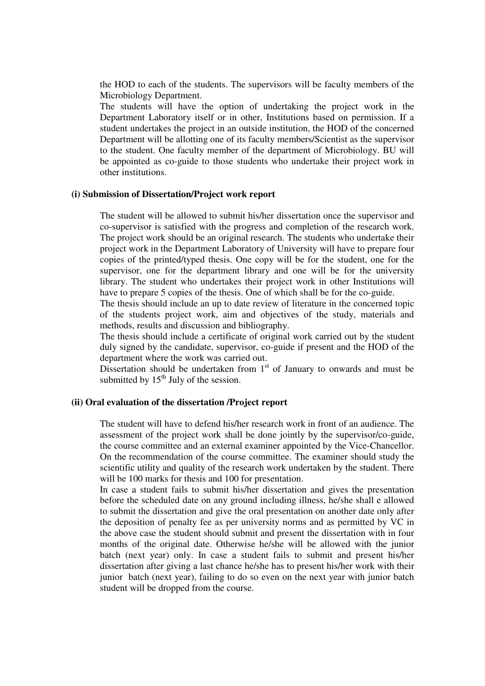the HOD to each of the students. The supervisors will be faculty members of the Microbiology Department.

 The students will have the option of undertaking the project work in the Department Laboratory itself or in other, Institutions based on permission. If a student undertakes the project in an outside institution, the HOD of the concerned Department will be allotting one of its faculty members/Scientist as the supervisor to the student. One faculty member of the department of Microbiology. BU will be appointed as co-guide to those students who undertake their project work in other institutions.

#### **(i) Submission of Dissertation/Project work report**

 The student will be allowed to submit his/her dissertation once the supervisor and co-supervisor is satisfied with the progress and completion of the research work. The project work should be an original research. The students who undertake their project work in the Department Laboratory of University will have to prepare four copies of the printed/typed thesis. One copy will be for the student, one for the supervisor, one for the department library and one will be for the university library. The student who undertakes their project work in other Institutions will have to prepare 5 copies of the thesis. One of which shall be for the co-guide.

 The thesis should include an up to date review of literature in the concerned topic of the students project work, aim and objectives of the study, materials and methods, results and discussion and bibliography.

 The thesis should include a certificate of original work carried out by the student duly signed by the candidate, supervisor, co-guide if present and the HOD of the department where the work was carried out.

Dissertation should be undertaken from  $1<sup>st</sup>$  of January to onwards and must be submitted by  $15<sup>th</sup>$  July of the session.

#### **(ii) Oral evaluation of the dissertation /Project report**

 The student will have to defend his/her research work in front of an audience. The assessment of the project work shall be done jointly by the supervisor/co-guide, the course committee and an external examiner appointed by the Vice-Chancellor. On the recommendation of the course committee. The examiner should study the scientific utility and quality of the research work undertaken by the student. There will be 100 marks for thesis and 100 for presentation.

 In case a student fails to submit his/her dissertation and gives the presentation before the scheduled date on any ground including illness, he/she shall e allowed to submit the dissertation and give the oral presentation on another date only after the deposition of penalty fee as per university norms and as permitted by VC in the above case the student should submit and present the dissertation with in four months of the original date. Otherwise he/she will be allowed with the junior batch (next year) only. In case a student fails to submit and present his/her dissertation after giving a last chance he/she has to present his/her work with their junior batch (next year), failing to do so even on the next year with junior batch student will be dropped from the course.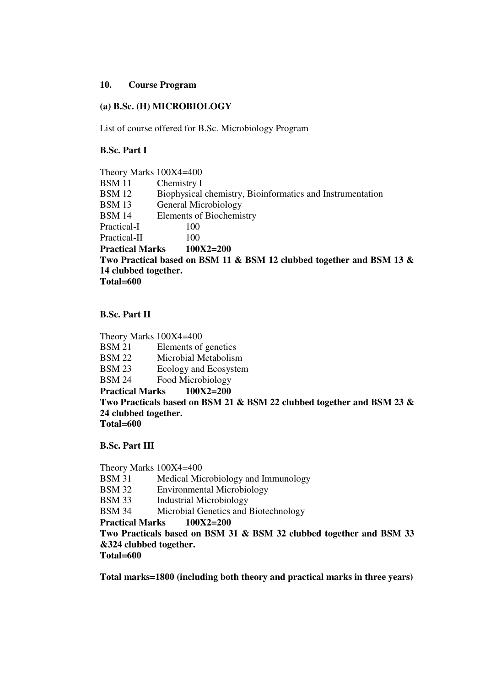#### **10. Course Program**

#### **(a) B.Sc. (H) MICROBIOLOGY**

List of course offered for B.Sc. Microbiology Program

 **B.Sc. Part I** 

 Theory Marks 100X4=400 BSM 11 Chemistry I BSM 12 Biophysical chemistry, Bioinformatics and Instrumentation BSM 13 General Microbiology BSM 14 Elements of Biochemistry Practical-I 100 Practical-II 100  **Practical Marks 100X2=200 Two Practical based on BSM 11 & BSM 12 clubbed together and BSM 13 & 14 clubbed together. Total=600** 

#### **B.Sc. Part II**

 Theory Marks 100X4=400 BSM 21 Elements of genetics BSM 22 Microbial Metabolism BSM 23 Ecology and Ecosystem BSM 24 Food Microbiology  **Practical Marks 100X2=200 Two Practicals based on BSM 21 & BSM 22 clubbed together and BSM 23 & 24 clubbed together. Total=600**

 **B.Sc. Part III** 

 Theory Marks 100X4=400 BSM 31 Medical Microbiology and Immunology BSM 32 Environmental Microbiology BSM 33 Industrial Microbiology BSM 34 Microbial Genetics and Biotechnology  **Practical Marks 100X2=200 Two Practicals based on BSM 31 & BSM 32 clubbed together and BSM 33 &324 clubbed together. Total=600**

 **Total marks=1800 (including both theory and practical marks in three years)**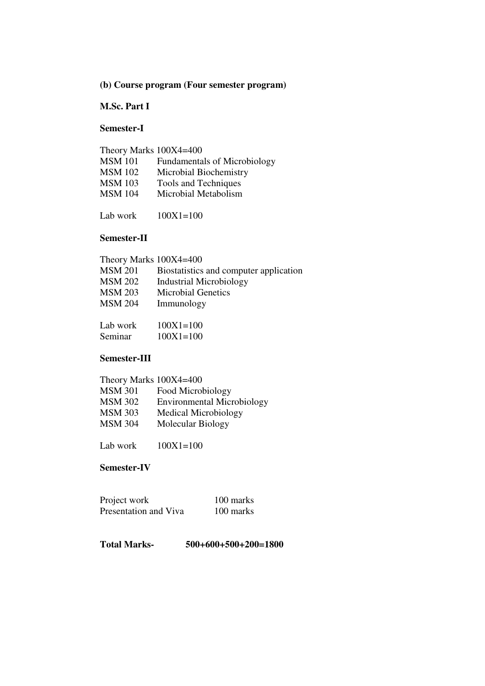# **(b) Course program (Four semester program)**

# **M.Sc. Part I**

#### **Semester-I**

| Theory Marks 100X4=400 |                                     |
|------------------------|-------------------------------------|
| <b>MSM</b> 101         | <b>Fundamentals of Microbiology</b> |
| <b>MSM</b> 102         | Microbial Biochemistry              |
| <b>MSM 103</b>         | Tools and Techniques                |
| <b>MSM</b> 104         | Microbial Metabolism                |
|                        |                                     |

Lab work 100X1=100

#### **Semester-II**

| Theory Marks 100X4=400 |                                        |
|------------------------|----------------------------------------|
| MSM 201                | Biostatistics and computer application |
| MSM 202                | <b>Industrial Microbiology</b>         |
| <b>MSM 203</b>         | <b>Microbial Genetics</b>              |
| <b>MSM 204</b>         | Immunology                             |
|                        |                                        |
| Lab work               | $100X1 = 100$                          |

| <b>LAU 11 VIII</b> | $10011 - 100$ |
|--------------------|---------------|
| Seminar            | $100X1 = 100$ |

#### **Semester-III**

| Theory Marks 100X4=400            |
|-----------------------------------|
| Food Microbiology                 |
| <b>Environmental Microbiology</b> |
| Medical Microbiology              |
| Molecular Biology                 |
|                                   |

Lab work  $100X1=100$ 

#### **Semester-IV**

| Project work          | 100 marks |
|-----------------------|-----------|
| Presentation and Viva | 100 marks |

# **Total Marks- 500+600+500+200=1800**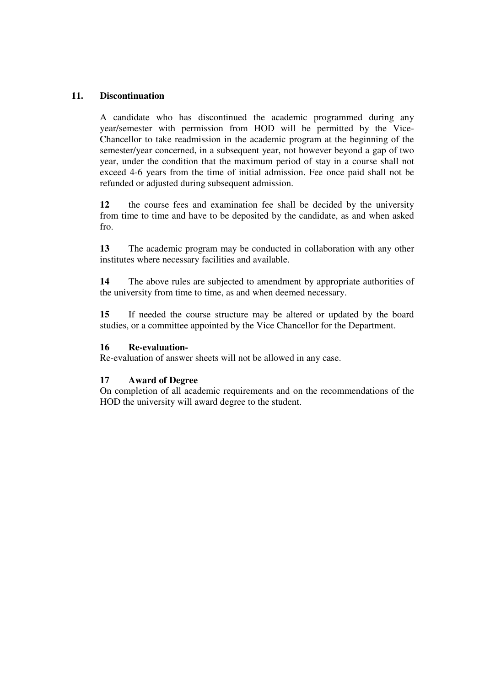### **11. Discontinuation**

 A candidate who has discontinued the academic programmed during any year/semester with permission from HOD will be permitted by the Vice- Chancellor to take readmission in the academic program at the beginning of the semester/year concerned, in a subsequent year, not however beyond a gap of two year, under the condition that the maximum period of stay in a course shall not exceed 4-6 years from the time of initial admission. Fee once paid shall not be refunded or adjusted during subsequent admission.

 **12** the course fees and examination fee shall be decided by the university from time to time and have to be deposited by the candidate, as and when asked fro.

 **13** The academic program may be conducted in collaboration with any other institutes where necessary facilities and available.

 **14** The above rules are subjected to amendment by appropriate authorities of the university from time to time, as and when deemed necessary.

 **15** If needed the course structure may be altered or updated by the board studies, or a committee appointed by the Vice Chancellor for the Department.

#### **16 Re-evaluation-**

Re-evaluation of answer sheets will not be allowed in any case.

#### **17 Award of Degree**

 On completion of all academic requirements and on the recommendations of the HOD the university will award degree to the student.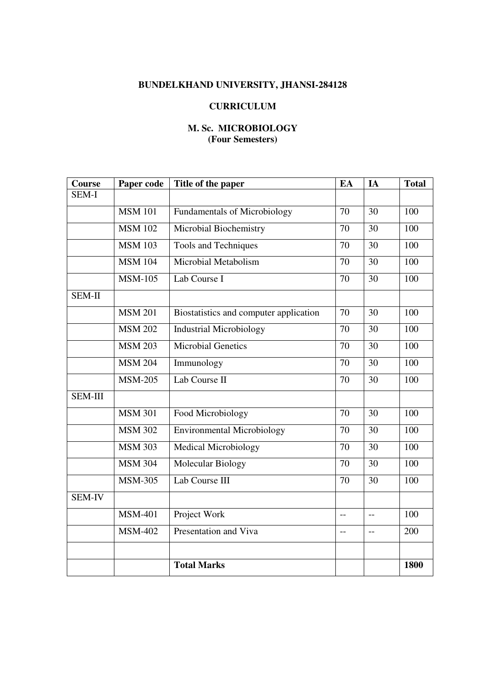# **BUNDELKHAND UNIVERSITY, JHANSI-284128**

# **CURRICULUM**

# **M. Sc. MICROBIOLOGY (Four Semesters)**

| Course         | Paper code     | Title of the paper                     | EA              | IA             | <b>Total</b> |
|----------------|----------------|----------------------------------------|-----------------|----------------|--------------|
| SEM-I          |                |                                        |                 |                |              |
|                | <b>MSM 101</b> | <b>Fundamentals of Microbiology</b>    | 70              | 30             | 100          |
|                | <b>MSM 102</b> | Microbial Biochemistry                 | 70              | 30             | 100          |
|                | <b>MSM 103</b> | Tools and Techniques                   | 70              | 30             | 100          |
|                | <b>MSM 104</b> | Microbial Metabolism                   | 70              | 30             | 100          |
|                | <b>MSM-105</b> | Lab Course I                           | 70              | 30             | 100          |
| SEM-II         |                |                                        |                 |                |              |
|                | <b>MSM 201</b> | Biostatistics and computer application | 70              | 30             | 100          |
|                | <b>MSM 202</b> | <b>Industrial Microbiology</b>         | 70              | 30             | 100          |
|                | <b>MSM 203</b> | <b>Microbial Genetics</b>              | 70              | 30             | 100          |
|                | <b>MSM 204</b> | Immunology                             | $\overline{70}$ | 30             | 100          |
|                | <b>MSM-205</b> | Lab Course II                          | 70              | 30             | 100          |
| <b>SEM-III</b> |                |                                        |                 |                |              |
|                | <b>MSM 301</b> | Food Microbiology                      | 70              | 30             | 100          |
|                | <b>MSM 302</b> | <b>Environmental Microbiology</b>      | 70              | 30             | 100          |
|                | <b>MSM 303</b> | <b>Medical Microbiology</b>            | 70              | 30             | 100          |
|                | <b>MSM 304</b> | <b>Molecular Biology</b>               | 70              | 30             | 100          |
|                | <b>MSM-305</b> | Lab Course III                         | 70              | 30             | 100          |
| <b>SEM-IV</b>  |                |                                        |                 |                |              |
|                | <b>MSM-401</b> | Project Work                           | $-$             | $\overline{a}$ | 100          |
|                | <b>MSM-402</b> | <b>Presentation and Viva</b>           | $-$             | $\overline{a}$ | 200          |
|                |                |                                        |                 |                |              |
|                |                | <b>Total Marks</b>                     |                 |                | 1800         |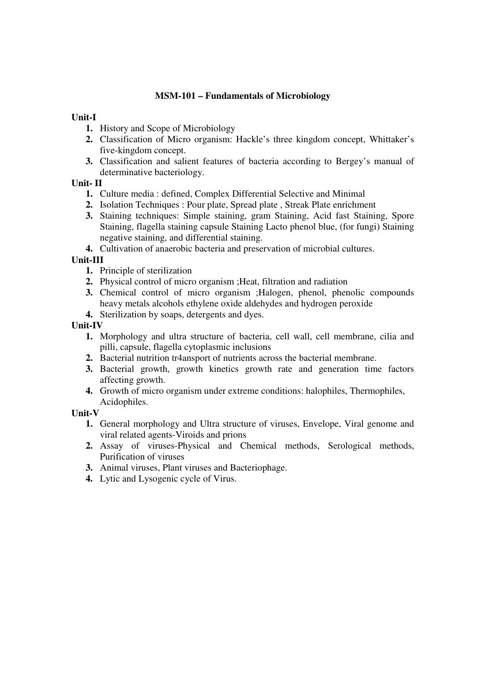# **MSM-101 – Fundamentals of Microbiology**

# **Unit-I**

- **1.** History and Scope of Microbiology
- **2.** Classification of Micro organism: Hackle's three kingdom concept, Whittaker's five-kingdom concept.
- **3.** Classification and salient features of bacteria according to Bergey's manual of determinative bacteriology.

# **Unit- II**

- **1.** Culture media : defined, Complex Differential Selective and Minimal
- **2.** Isolation Techniques : Pour plate, Spread plate , Streak Plate enrichment
- **3.** Staining techniques: Simple staining, gram Staining, Acid fast Staining, Spore Staining, flagella staining capsule Staining Lacto phenol blue, (for fungi) Staining negative staining, and differential staining.
- **4.** Cultivation of anaerobic bacteria and preservation of microbial cultures.

# **Unit-III**

- **1.** Principle of sterilization
- **2.** Physical control of micro organism ;Heat, filtration and radiation
- **3.** Chemical control of micro organism ;Halogen, phenol, phenolic compounds heavy metals alcohols ethylene oxide aldehydes and hydrogen peroxide
- **4.** Sterilization by soaps, detergents and dyes.

# **Unit-IV**

- **1.** Morphology and ultra structure of bacteria, cell wall, cell membrane, cilia and pilli, capsule, flagella cytoplasmic inclusions
- **2.** Bacterial nutrition tr4ansport of nutrients across the bacterial membrane.
- **3.** Bacterial growth, growth kinetics growth rate and generation time factors affecting growth.
- **4.** Growth of micro organism under extreme conditions: halophiles, Thermophiles, Acidophiles.

- **1.** General morphology and Ultra structure of viruses, Envelope, Viral genome and viral related agents-Viroids and prions
- **2.** Assay of viruses-Physical and Chemical methods, Serological methods, Purification of viruses
- **3.** Animal viruses, Plant viruses and Bacteriophage.
- **4.** Lytic and Lysogenic cycle of Virus.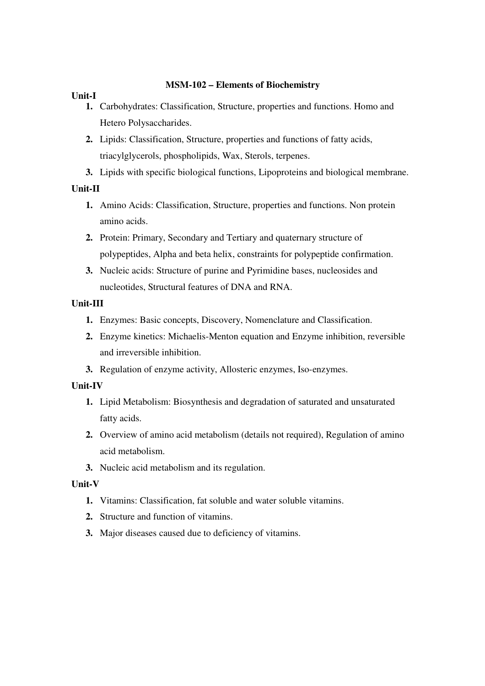### **MSM-102 – Elements of Biochemistry**

# **Unit-I**

- **1.** Carbohydrates: Classification, Structure, properties and functions. Homo and Hetero Polysaccharides.
- **2.** Lipids: Classification, Structure, properties and functions of fatty acids, triacylglycerols, phospholipids, Wax, Sterols, terpenes.
- **3.** Lipids with specific biological functions, Lipoproteins and biological membrane.

# **Unit-II**

- **1.** Amino Acids: Classification, Structure, properties and functions. Non protein amino acids.
- **2.** Protein: Primary, Secondary and Tertiary and quaternary structure of polypeptides, Alpha and beta helix, constraints for polypeptide confirmation.
- **3.** Nucleic acids: Structure of purine and Pyrimidine bases, nucleosides and nucleotides, Structural features of DNA and RNA.

# **Unit-III**

- **1.** Enzymes: Basic concepts, Discovery, Nomenclature and Classification.
- **2.** Enzyme kinetics: Michaelis-Menton equation and Enzyme inhibition, reversible and irreversible inhibition.
- **3.** Regulation of enzyme activity, Allosteric enzymes, Iso-enzymes.

# **Unit-IV**

- **1.** Lipid Metabolism: Biosynthesis and degradation of saturated and unsaturated fatty acids.
- **2.** Overview of amino acid metabolism (details not required), Regulation of amino acid metabolism.
- **3.** Nucleic acid metabolism and its regulation.

- **1.** Vitamins: Classification, fat soluble and water soluble vitamins.
- **2.** Structure and function of vitamins.
- **3.** Major diseases caused due to deficiency of vitamins.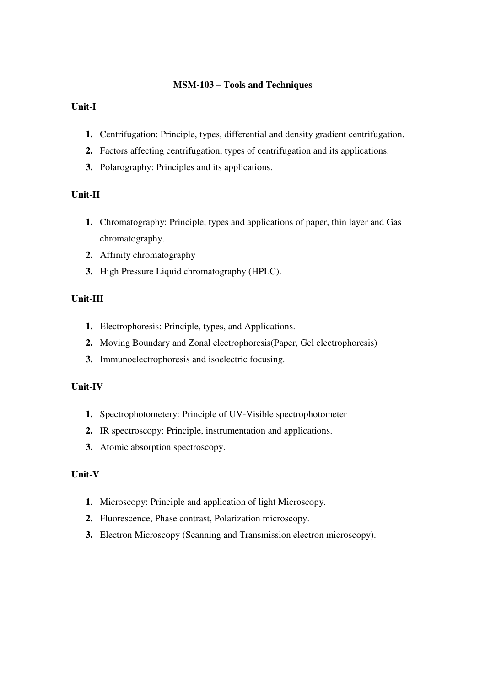#### **MSM-103 – Tools and Techniques**

# **Unit-I**

- **1.** Centrifugation: Principle, types, differential and density gradient centrifugation.
- **2.** Factors affecting centrifugation, types of centrifugation and its applications.
- **3.** Polarography: Principles and its applications.

# **Unit-II**

- **1.** Chromatography: Principle, types and applications of paper, thin layer and Gas chromatography.
- **2.** Affinity chromatography
- **3.** High Pressure Liquid chromatography (HPLC).

# **Unit-III**

- **1.** Electrophoresis: Principle, types, and Applications.
- **2.** Moving Boundary and Zonal electrophoresis(Paper, Gel electrophoresis)
- **3.** Immunoelectrophoresis and isoelectric focusing.

# **Unit-IV**

- **1.** Spectrophotometery: Principle of UV-Visible spectrophotometer
- **2.** IR spectroscopy: Principle, instrumentation and applications.
- **3.** Atomic absorption spectroscopy.

- **1.** Microscopy: Principle and application of light Microscopy.
- **2.** Fluorescence, Phase contrast, Polarization microscopy.
- **3.** Electron Microscopy (Scanning and Transmission electron microscopy).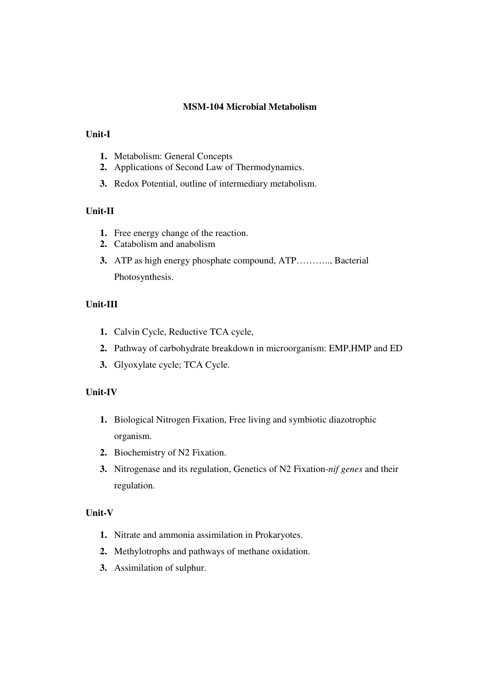#### **MSM-104 Microbial Metabolism**

# **Unit-I**

- **1.** Metabolism: General Concepts
- **2.** Applications of Second Law of Thermodynamics.
- **3.** Redox Potential, outline of intermediary metabolism.

# **Unit-II**

- **1.** Free energy change of the reaction.
- **2.** Catabolism and anabolism
- **3.** ATP as high energy phosphate compound, ATP……….., Bacterial Photosynthesis.

#### **Unit-III**

- **1.** Calvin Cycle, Reductive TCA cycle,
- **2.** Pathway of carbohydrate breakdown in microorganism: EMP,HMP and ED
- **3.** Glyoxylate cycle; TCA Cycle.

#### **Unit-IV**

- **1.** Biological Nitrogen Fixation, Free living and symbiotic diazotrophic organism.
- **2.** Biochemistry of N2 Fixation.
- **3.** Nitrogenase and its regulation, Genetics of N2 Fixation-*nif genes* and their regulation.

- **1.** Nitrate and ammonia assimilation in Prokaryotes.
- **2.** Methylotrophs and pathways of methane oxidation.
- **3.** Assimilation of sulphur.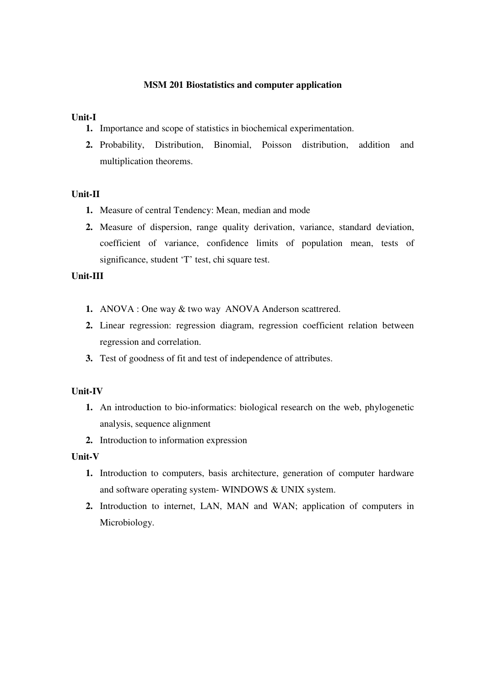### **MSM 201 Biostatistics and computer application**

### **Unit-I**

- **1.** Importance and scope of statistics in biochemical experimentation.
- **2.** Probability, Distribution, Binomial, Poisson distribution, addition and multiplication theorems.

# **Unit-II**

- **1.** Measure of central Tendency: Mean, median and mode
- **2.** Measure of dispersion, range quality derivation, variance, standard deviation, coefficient of variance, confidence limits of population mean, tests of significance, student 'T' test, chi square test.

# **Unit-III**

- **1.** ANOVA : One way & two way ANOVA Anderson scattrered.
- **2.** Linear regression: regression diagram, regression coefficient relation between regression and correlation.
- **3.** Test of goodness of fit and test of independence of attributes.

# **Unit-IV**

- **1.** An introduction to bio-informatics: biological research on the web, phylogenetic analysis, sequence alignment
- **2.** Introduction to information expression

- **1.** Introduction to computers, basis architecture, generation of computer hardware and software operating system- WINDOWS & UNIX system.
- **2.** Introduction to internet, LAN, MAN and WAN; application of computers in Microbiology.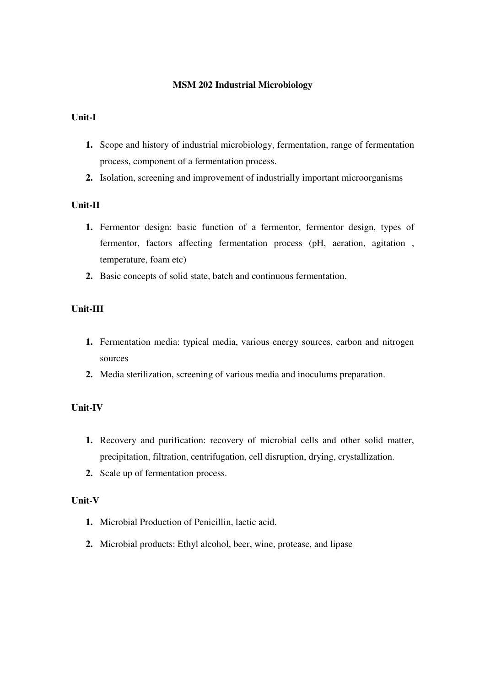### **MSM 202 Industrial Microbiology**

# **Unit-I**

- **1.** Scope and history of industrial microbiology, fermentation, range of fermentation process, component of a fermentation process.
- **2.** Isolation, screening and improvement of industrially important microorganisms

# **Unit-II**

- **1.** Fermentor design: basic function of a fermentor, fermentor design, types of fermentor, factors affecting fermentation process (pH, aeration, agitation , temperature, foam etc)
- **2.** Basic concepts of solid state, batch and continuous fermentation.

# **Unit-III**

- **1.** Fermentation media: typical media, various energy sources, carbon and nitrogen sources
- **2.** Media sterilization, screening of various media and inoculums preparation.

# **Unit-IV**

- **1.** Recovery and purification: recovery of microbial cells and other solid matter, precipitation, filtration, centrifugation, cell disruption, drying, crystallization.
- **2.** Scale up of fermentation process.

- **1.** Microbial Production of Penicillin, lactic acid.
- **2.** Microbial products: Ethyl alcohol, beer, wine, protease, and lipase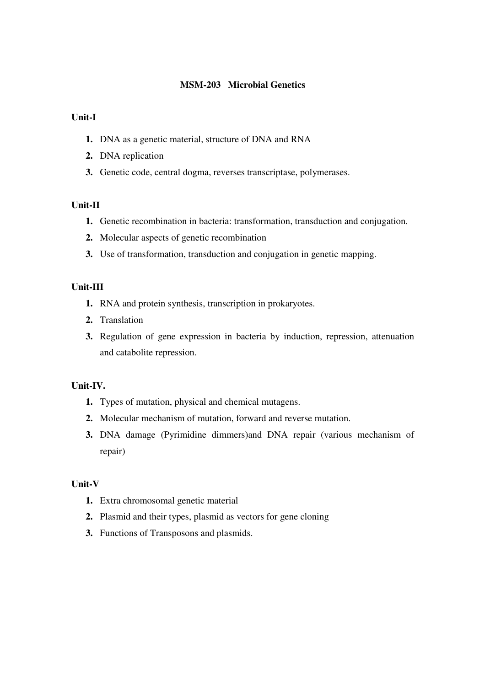# **MSM-203 Microbial Genetics**

### **Unit-I**

- **1.** DNA as a genetic material, structure of DNA and RNA
- **2.** DNA replication
- **3.** Genetic code, central dogma, reverses transcriptase, polymerases.

# **Unit-II**

- **1.** Genetic recombination in bacteria: transformation, transduction and conjugation.
- **2.** Molecular aspects of genetic recombination
- **3.** Use of transformation, transduction and conjugation in genetic mapping.

# **Unit-III**

- **1.** RNA and protein synthesis, transcription in prokaryotes.
- **2.** Translation
- **3.** Regulation of gene expression in bacteria by induction, repression, attenuation and catabolite repression.

# **Unit-IV.**

- **1.** Types of mutation, physical and chemical mutagens.
- **2.** Molecular mechanism of mutation, forward and reverse mutation.
- **3.** DNA damage (Pyrimidine dimmers)and DNA repair (various mechanism of repair)

- **1.** Extra chromosomal genetic material
- **2.** Plasmid and their types, plasmid as vectors for gene cloning
- **3.** Functions of Transposons and plasmids.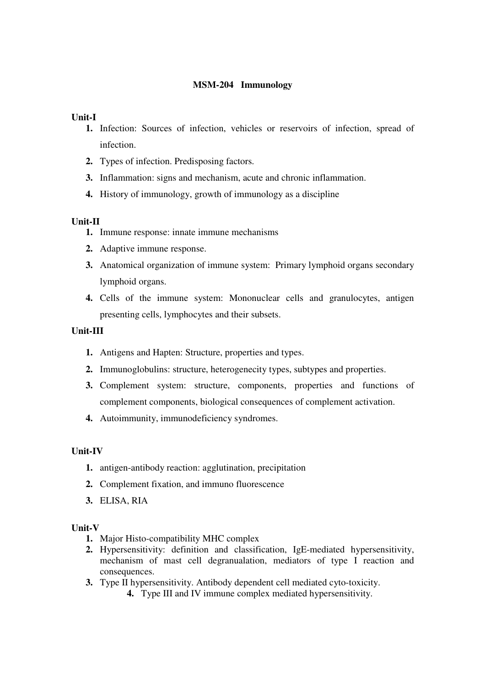# **MSM-204 Immunology**

### **Unit-I**

- **1.** Infection: Sources of infection, vehicles or reservoirs of infection, spread of infection.
- **2.** Types of infection. Predisposing factors.
- **3.** Inflammation: signs and mechanism, acute and chronic inflammation.
- **4.** History of immunology, growth of immunology as a discipline

#### **Unit-II**

- **1.** Immune response: innate immune mechanisms
- **2.** Adaptive immune response.
- **3.** Anatomical organization of immune system: Primary lymphoid organs secondary lymphoid organs.
- **4.** Cells of the immune system: Mononuclear cells and granulocytes, antigen presenting cells, lymphocytes and their subsets.

# **Unit-III**

- **1.** Antigens and Hapten: Structure, properties and types.
- **2.** Immunoglobulins: structure, heterogenecity types, subtypes and properties.
- **3.** Complement system: structure, components, properties and functions of complement components, biological consequences of complement activation.
- **4.** Autoimmunity, immunodeficiency syndromes.

# **Unit-IV**

- **1.** antigen-antibody reaction: agglutination, precipitation
- **2.** Complement fixation, and immuno fluorescence
- **3.** ELISA, RIA

- **1.** Major Histo-compatibility MHC complex
- **2.** Hypersensitivity: definition and classification, IgE-mediated hypersensitivity, mechanism of mast cell degranualation, mediators of type I reaction and consequences.
- **3.** Type II hypersensitivity. Antibody dependent cell mediated cyto-toxicity.
	- **4.** Type III and IV immune complex mediated hypersensitivity.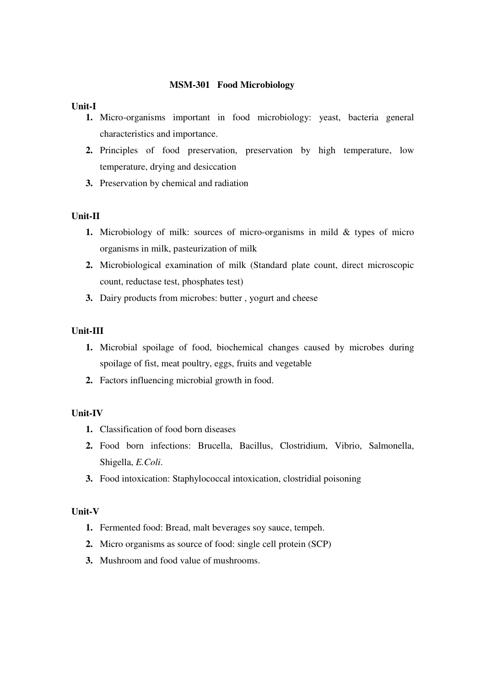#### **MSM-301 Food Microbiology**

#### **Unit-I**

- **1.** Micro-organisms important in food microbiology: yeast, bacteria general characteristics and importance.
- **2.** Principles of food preservation, preservation by high temperature, low temperature, drying and desiccation
- **3.** Preservation by chemical and radiation

#### **Unit-II**

- **1.** Microbiology of milk: sources of micro-organisms in mild & types of micro organisms in milk, pasteurization of milk
- **2.** Microbiological examination of milk (Standard plate count, direct microscopic count, reductase test, phosphates test)
- **3.** Dairy products from microbes: butter , yogurt and cheese

#### **Unit-III**

- **1.** Microbial spoilage of food, biochemical changes caused by microbes during spoilage of fist, meat poultry, eggs, fruits and vegetable
- **2.** Factors influencing microbial growth in food.

#### **Unit-IV**

- **1.** Classification of food born diseases
- **2.** Food born infections: Brucella, Bacillus, Clostridium, Vibrio, Salmonella, Shigella, *E.Coli*.
- **3.** Food intoxication: Staphylococcal intoxication, clostridial poisoning

- **1.** Fermented food: Bread, malt beverages soy sauce, tempeh.
- **2.** Micro organisms as source of food: single cell protein (SCP)
- **3.** Mushroom and food value of mushrooms.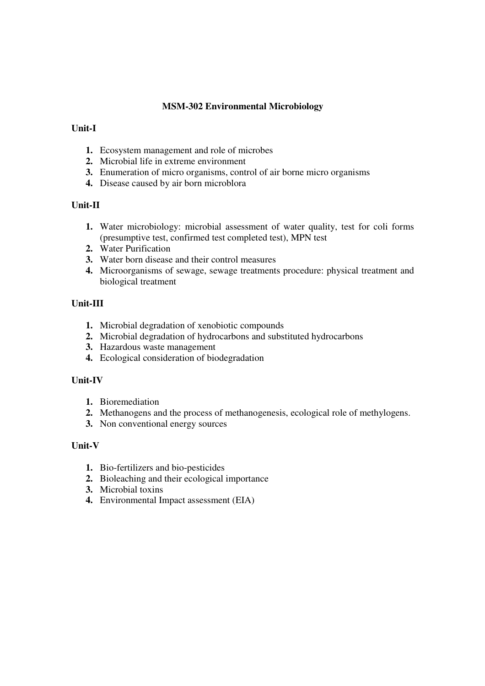# **MSM-302 Environmental Microbiology**

# **Unit-I**

- **1.** Ecosystem management and role of microbes
- **2.** Microbial life in extreme environment
- **3.** Enumeration of micro organisms, control of air borne micro organisms
- **4.** Disease caused by air born microblora

# **Unit-II**

- **1.** Water microbiology: microbial assessment of water quality, test for coli forms (presumptive test, confirmed test completed test), MPN test
- **2.** Water Purification
- **3.** Water born disease and their control measures
- **4.** Microorganisms of sewage, sewage treatments procedure: physical treatment and biological treatment

# **Unit-III**

- **1.** Microbial degradation of xenobiotic compounds
- **2.** Microbial degradation of hydrocarbons and substituted hydrocarbons
- **3.** Hazardous waste management
- **4.** Ecological consideration of biodegradation

# **Unit-IV**

- **1.** Bioremediation
- **2.** Methanogens and the process of methanogenesis, ecological role of methylogens.
- **3.** Non conventional energy sources

- **1.** Bio-fertilizers and bio-pesticides
- **2.** Bioleaching and their ecological importance
- **3.** Microbial toxins
- **4.** Environmental Impact assessment (EIA)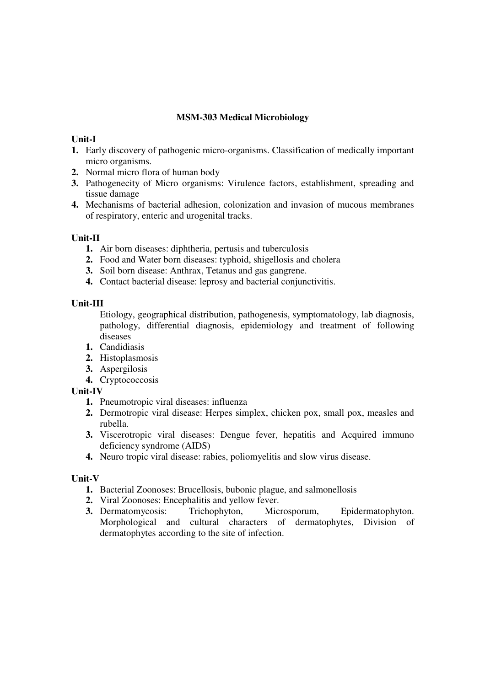# **MSM-303 Medical Microbiology**

### **Unit-I**

- **1.** Early discovery of pathogenic micro-organisms. Classification of medically important micro organisms.
- **2.** Normal micro flora of human body
- **3.** Pathogenecity of Micro organisms: Virulence factors, establishment, spreading and tissue damage
- **4.** Mechanisms of bacterial adhesion, colonization and invasion of mucous membranes of respiratory, enteric and urogenital tracks.

# **Unit-II**

- **1.** Air born diseases: diphtheria, pertusis and tuberculosis
- **2.** Food and Water born diseases: typhoid, shigellosis and cholera
- **3.** Soil born disease: Anthrax, Tetanus and gas gangrene.
- **4.** Contact bacterial disease: leprosy and bacterial conjunctivitis.

# **Unit-III**

 Etiology, geographical distribution, pathogenesis, symptomatology, lab diagnosis, pathology, differential diagnosis, epidemiology and treatment of following diseases

- **1.** Candidiasis
- **2.** Histoplasmosis
- **3.** Aspergilosis
- **4.** Cryptococcosis

# **Unit-IV**

- **1.** Pneumotropic viral diseases: influenza
- **2.** Dermotropic viral disease: Herpes simplex, chicken pox, small pox, measles and rubella.
- **3.** Viscerotropic viral diseases: Dengue fever, hepatitis and Acquired immuno deficiency syndrome (AIDS)
- **4.** Neuro tropic viral disease: rabies, poliomyelitis and slow virus disease.

- **1.** Bacterial Zoonoses: Brucellosis, bubonic plague, and salmonellosis
- **2.** Viral Zoonoses: Encephalitis and yellow fever.
- **3.** Dermatomycosis: Trichophyton, Microsporum, Epidermatophyton. Morphological and cultural characters of dermatophytes, Division of dermatophytes according to the site of infection.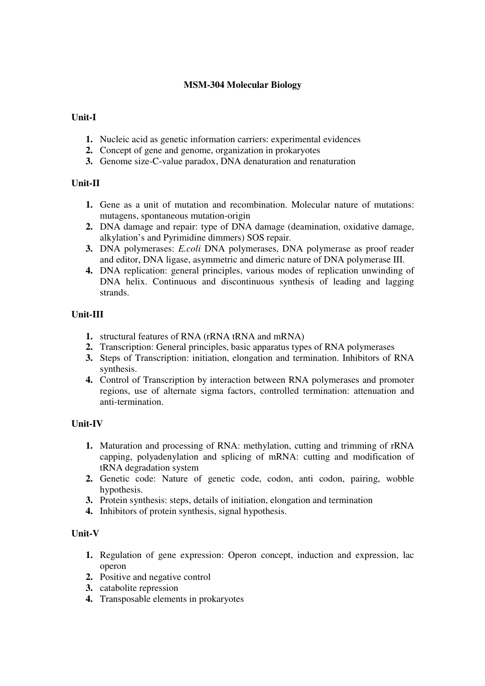# **MSM-304 Molecular Biology**

# **Unit-I**

- **1.** Nucleic acid as genetic information carriers: experimental evidences
- **2.** Concept of gene and genome, organization in prokaryotes
- **3.** Genome size-C-value paradox, DNA denaturation and renaturation

# **Unit-II**

- **1.** Gene as a unit of mutation and recombination. Molecular nature of mutations: mutagens, spontaneous mutation-origin
- **2.** DNA damage and repair: type of DNA damage (deamination, oxidative damage, alkylation's and Pyrimidine dimmers) SOS repair.
- **3.** DNA polymerases: *E.coli* DNA polymerases, DNA polymerase as proof reader and editor, DNA ligase, asymmetric and dimeric nature of DNA polymerase III.
- **4.** DNA replication: general principles, various modes of replication unwinding of DNA helix. Continuous and discontinuous synthesis of leading and lagging strands.

# **Unit-III**

- **1.** structural features of RNA (rRNA tRNA and mRNA)
- **2.** Transcription: General principles, basic apparatus types of RNA polymerases
- **3.** Steps of Transcription: initiation, elongation and termination. Inhibitors of RNA synthesis.
- **4.** Control of Transcription by interaction between RNA polymerases and promoter regions, use of alternate sigma factors, controlled termination: attenuation and anti-termination.

# **Unit-IV**

- **1.** Maturation and processing of RNA: methylation, cutting and trimming of rRNA capping, polyadenylation and splicing of mRNA: cutting and modification of tRNA degradation system
- **2.** Genetic code: Nature of genetic code, codon, anti codon, pairing, wobble hypothesis.
- **3.** Protein synthesis: steps, details of initiation, elongation and termination
- **4.** Inhibitors of protein synthesis, signal hypothesis.

- **1.** Regulation of gene expression: Operon concept, induction and expression, lac operon
- **2.** Positive and negative control
- **3.** catabolite repression
- **4.** Transposable elements in prokaryotes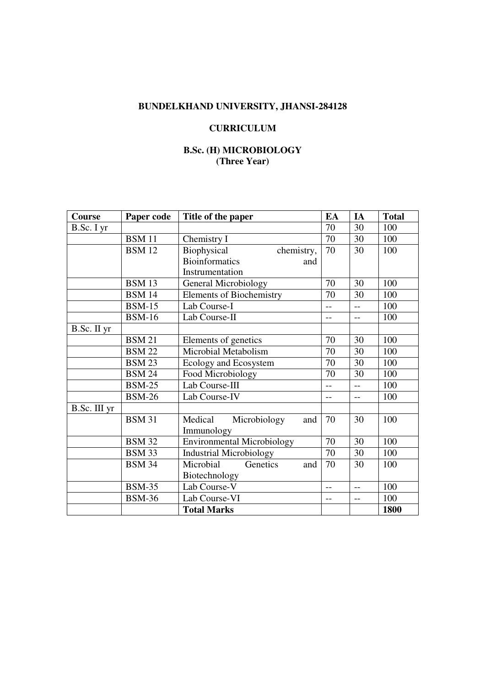# **BUNDELKHAND UNIVERSITY, JHANSI-284128**

# **CURRICULUM**

# **B.Sc. (H) MICROBIOLOGY (Three Year)**

| Course       | Paper code    | Title of the paper                | EA             | IA             | <b>Total</b> |
|--------------|---------------|-----------------------------------|----------------|----------------|--------------|
| B.Sc. I yr   |               |                                   | 70             | 30             | 100          |
|              | <b>BSM</b> 11 | Chemistry I                       | 70             | 30             | 100          |
|              | <b>BSM 12</b> | Biophysical<br>chemistry,         | 70             | 30             | 100          |
|              |               | <b>Bioinformatics</b><br>and      |                |                |              |
|              |               | Instrumentation                   |                |                |              |
|              | <b>BSM 13</b> | <b>General Microbiology</b>       | 70             | 30             | 100          |
|              | <b>BSM 14</b> | <b>Elements of Biochemistry</b>   | 70             | 30             | 100          |
|              | <b>BSM-15</b> | Lab Course-I                      | L.,            | $\overline{a}$ | 100          |
|              | <b>BSM-16</b> | Lab Course-II                     | --             | $\overline{a}$ | 100          |
| B.Sc. II yr  |               |                                   |                |                |              |
|              | <b>BSM 21</b> | Elements of genetics              | 70             | 30             | 100          |
|              | <b>BSM 22</b> | Microbial Metabolism              | 70             | 30             | 100          |
|              | <b>BSM 23</b> | Ecology and Ecosystem             | 70             | 30             | 100          |
|              | <b>BSM 24</b> | Food Microbiology                 | 70             | 30             | 100          |
|              | <b>BSM-25</b> | Lab Course-III                    | $-$            | $-$            | 100          |
|              | <b>BSM-26</b> | Lab Course-IV                     |                | $-$            | 100          |
| B.Sc. III yr |               |                                   |                |                |              |
|              | <b>BSM 31</b> | Microbiology<br>Medical<br>and    | 70             | 30             | 100          |
|              |               | Immunology                        |                |                |              |
|              | <b>BSM 32</b> | <b>Environmental Microbiology</b> | 70             | 30             | 100          |
|              | <b>BSM 33</b> | <b>Industrial Microbiology</b>    | 70             | 30             | 100          |
|              | <b>BSM 34</b> | Microbial<br>Genetics<br>and      | 70             | 30             | 100          |
|              |               | Biotechnology                     |                |                |              |
|              | <b>BSM-35</b> | Lab Course-V                      | $\overline{a}$ | $-$            | 100          |
|              | <b>BSM-36</b> | Lab Course-VI                     | --             | $-$            | 100          |
|              |               | <b>Total Marks</b>                |                |                | 1800         |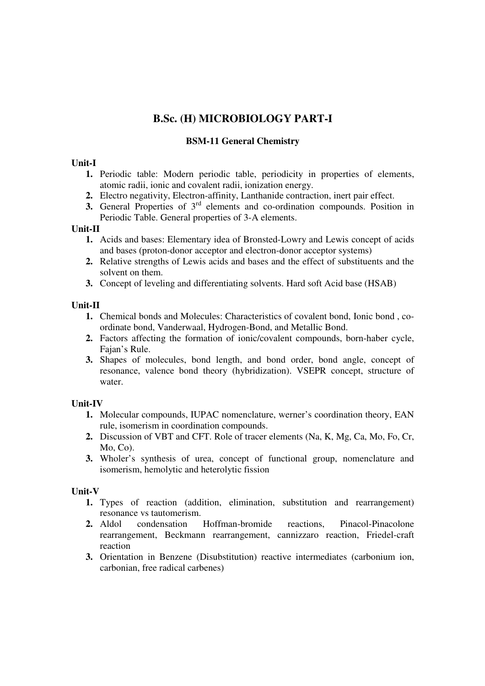# **B.Sc. (H) MICROBIOLOGY PART-I**

# **BSM-11 General Chemistry**

# **Unit-I**

- **1.** Periodic table: Modern periodic table, periodicity in properties of elements, atomic radii, ionic and covalent radii, ionization energy.
- **2.** Electro negativity, Electron-affinity, Lanthanide contraction, inert pair effect.
- **3.** General Properties of 3<sup>rd</sup> elements and co-ordination compounds. Position in Periodic Table. General properties of 3-A elements.

#### **Unit-II**

- **1.** Acids and bases: Elementary idea of Bronsted-Lowry and Lewis concept of acids and bases (proton-donor acceptor and electron-donor acceptor systems)
- **2.** Relative strengths of Lewis acids and bases and the effect of substituents and the solvent on them.
- **3.** Concept of leveling and differentiating solvents. Hard soft Acid base (HSAB)

# **Unit-II**

- **1.** Chemical bonds and Molecules: Characteristics of covalent bond, Ionic bond , coordinate bond, Vanderwaal, Hydrogen-Bond, and Metallic Bond.
- **2.** Factors affecting the formation of ionic/covalent compounds, born-haber cycle, Fajan's Rule.
- **3.** Shapes of molecules, bond length, and bond order, bond angle, concept of resonance, valence bond theory (hybridization). VSEPR concept, structure of water.

# **Unit-IV**

- **1.** Molecular compounds, IUPAC nomenclature, werner's coordination theory, EAN rule, isomerism in coordination compounds.
- **2.** Discussion of VBT and CFT. Role of tracer elements (Na, K, Mg, Ca, Mo, Fo, Cr, Mo, Co).
- **3.** Wholer's synthesis of urea, concept of functional group, nomenclature and isomerism, hemolytic and heterolytic fission

- **1.** Types of reaction (addition, elimination, substitution and rearrangement) resonance vs tautomerism.
- **2.** Aldol condensation Hoffman-bromide reactions, Pinacol-Pinacolone rearrangement, Beckmann rearrangement, cannizzaro reaction, Friedel-craft reaction
- **3.** Orientation in Benzene (Disubstitution) reactive intermediates (carbonium ion, carbonian, free radical carbenes)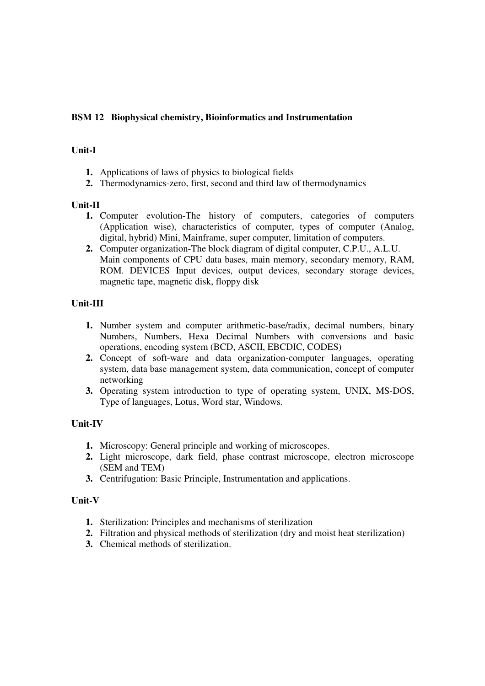# **BSM 12 Biophysical chemistry, Bioinformatics and Instrumentation**

# **Unit-I**

- **1.** Applications of laws of physics to biological fields
- **2.** Thermodynamics-zero, first, second and third law of thermodynamics

# **Unit-II**

- **1.** Computer evolution-The history of computers, categories of computers (Application wise), characteristics of computer, types of computer (Analog, digital, hybrid) Mini, Mainframe, super computer, limitation of computers.
- **2.** Computer organization-The block diagram of digital computer, C.P.U., A.L.U. Main components of CPU data bases, main memory, secondary memory, RAM, ROM. DEVICES Input devices, output devices, secondary storage devices, magnetic tape, magnetic disk, floppy disk

# **Unit-III**

- **1.** Number system and computer arithmetic-base/radix, decimal numbers, binary Numbers, Numbers, Hexa Decimal Numbers with conversions and basic operations, encoding system (BCD, ASCII, EBCDIC, CODES)
- **2.** Concept of soft-ware and data organization-computer languages, operating system, data base management system, data communication, concept of computer networking
- **3.** Operating system introduction to type of operating system, UNIX, MS-DOS, Type of languages, Lotus, Word star, Windows.

# **Unit-IV**

- **1.** Microscopy: General principle and working of microscopes.
- **2.** Light microscope, dark field, phase contrast microscope, electron microscope (SEM and TEM)
- **3.** Centrifugation: Basic Principle, Instrumentation and applications.

- **1.** Sterilization: Principles and mechanisms of sterilization
- **2.** Filtration and physical methods of sterilization (dry and moist heat sterilization)
- **3.** Chemical methods of sterilization.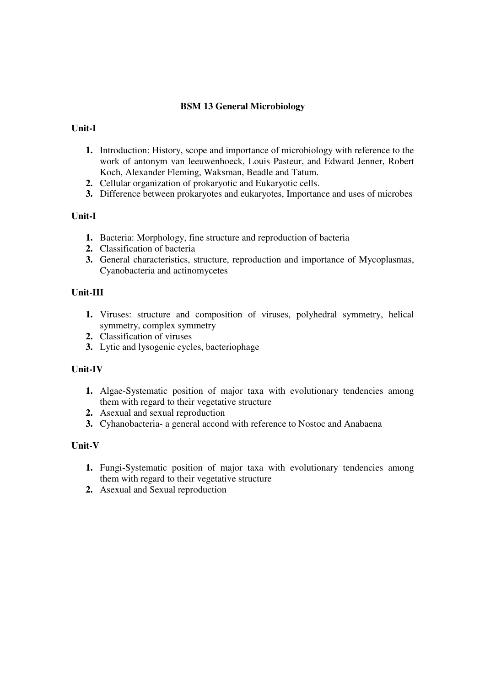# **BSM 13 General Microbiology**

# **Unit-I**

- **1.** Introduction: History, scope and importance of microbiology with reference to the work of antonym van leeuwenhoeck, Louis Pasteur, and Edward Jenner, Robert Koch, Alexander Fleming, Waksman, Beadle and Tatum.
- **2.** Cellular organization of prokaryotic and Eukaryotic cells.
- **3.** Difference between prokaryotes and eukaryotes, Importance and uses of microbes

# **Unit-I**

- **1.** Bacteria: Morphology, fine structure and reproduction of bacteria
- **2.** Classification of bacteria
- **3.** General characteristics, structure, reproduction and importance of Mycoplasmas, Cyanobacteria and actinomycetes

# **Unit-III**

- **1.** Viruses: structure and composition of viruses, polyhedral symmetry, helical symmetry, complex symmetry
- **2.** Classification of viruses
- **3.** Lytic and lysogenic cycles, bacteriophage

#### **Unit-IV**

- **1.** Algae-Systematic position of major taxa with evolutionary tendencies among them with regard to their vegetative structure
- **2.** Asexual and sexual reproduction
- **3.** Cyhanobacteria- a general accond with reference to Nostoc and Anabaena

- **1.** Fungi-Systematic position of major taxa with evolutionary tendencies among them with regard to their vegetative structure
- **2.** Asexual and Sexual reproduction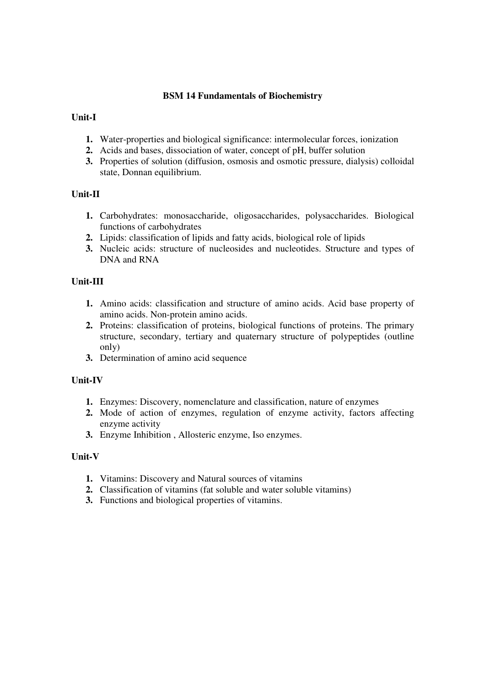# **BSM 14 Fundamentals of Biochemistry**

# **Unit-I**

- **1.** Water-properties and biological significance: intermolecular forces, ionization
- **2.** Acids and bases, dissociation of water, concept of pH, buffer solution
- **3.** Properties of solution (diffusion, osmosis and osmotic pressure, dialysis) colloidal state, Donnan equilibrium.

# **Unit-II**

- **1.** Carbohydrates: monosaccharide, oligosaccharides, polysaccharides. Biological functions of carbohydrates
- **2.** Lipids: classification of lipids and fatty acids, biological role of lipids
- **3.** Nucleic acids: structure of nucleosides and nucleotides. Structure and types of DNA and RNA

# **Unit-III**

- **1.** Amino acids: classification and structure of amino acids. Acid base property of amino acids. Non-protein amino acids.
- **2.** Proteins: classification of proteins, biological functions of proteins. The primary structure, secondary, tertiary and quaternary structure of polypeptides (outline only)
- **3.** Determination of amino acid sequence

#### **Unit-IV**

- **1.** Enzymes: Discovery, nomenclature and classification, nature of enzymes
- **2.** Mode of action of enzymes, regulation of enzyme activity, factors affecting enzyme activity
- **3.** Enzyme Inhibition , Allosteric enzyme, Iso enzymes.

- **1.** Vitamins: Discovery and Natural sources of vitamins
- **2.** Classification of vitamins (fat soluble and water soluble vitamins)
- **3.** Functions and biological properties of vitamins.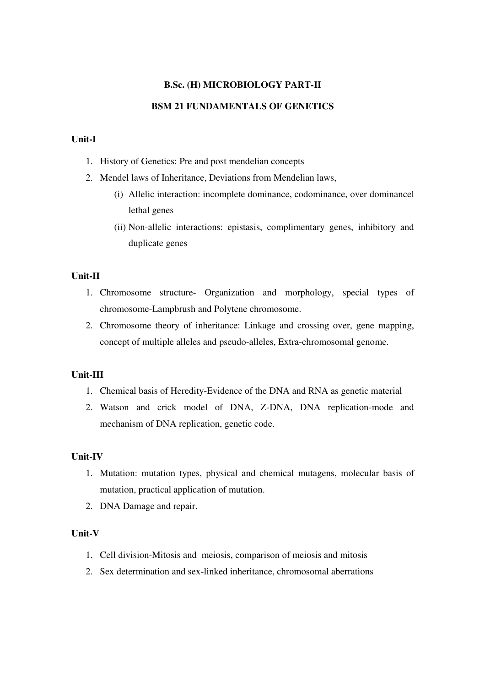# **B.Sc. (H) MICROBIOLOGY PART-II**

#### **BSM 21 FUNDAMENTALS OF GENETICS**

# **Unit-I**

- 1. History of Genetics: Pre and post mendelian concepts
- 2. Mendel laws of Inheritance, Deviations from Mendelian laws,
	- (i) Allelic interaction: incomplete dominance, codominance, over dominancel lethal genes
	- (ii) Non-allelic interactions: epistasis, complimentary genes, inhibitory and duplicate genes

#### **Unit-II**

- 1. Chromosome structure- Organization and morphology, special types of chromosome-Lampbrush and Polytene chromosome.
- 2. Chromosome theory of inheritance: Linkage and crossing over, gene mapping, concept of multiple alleles and pseudo-alleles, Extra-chromosomal genome.

#### **Unit-III**

- 1. Chemical basis of Heredity-Evidence of the DNA and RNA as genetic material
- 2. Watson and crick model of DNA, Z-DNA, DNA replication-mode and mechanism of DNA replication, genetic code.

#### **Unit-IV**

- 1. Mutation: mutation types, physical and chemical mutagens, molecular basis of mutation, practical application of mutation.
- 2. DNA Damage and repair.

- 1. Cell division-Mitosis and meiosis, comparison of meiosis and mitosis
- 2. Sex determination and sex-linked inheritance, chromosomal aberrations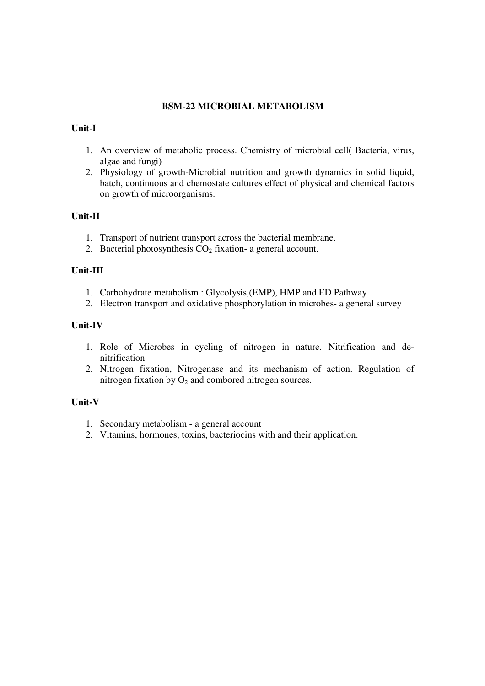# **BSM-22 MICROBIAL METABOLISM**

# **Unit-I**

- 1. An overview of metabolic process. Chemistry of microbial cell( Bacteria, virus, algae and fungi)
- 2. Physiology of growth-Microbial nutrition and growth dynamics in solid liquid, batch, continuous and chemostate cultures effect of physical and chemical factors on growth of microorganisms.

# **Unit-II**

- 1. Transport of nutrient transport across the bacterial membrane.
- 2. Bacterial photosynthesis  $CO<sub>2</sub>$  fixation- a general account.

# **Unit-III**

- 1. Carbohydrate metabolism : Glycolysis,(EMP), HMP and ED Pathway
- 2. Electron transport and oxidative phosphorylation in microbes- a general survey

# **Unit-IV**

- 1. Role of Microbes in cycling of nitrogen in nature. Nitrification and denitrification
- 2. Nitrogen fixation, Nitrogenase and its mechanism of action. Regulation of nitrogen fixation by  $O_2$  and combored nitrogen sources.

- 1. Secondary metabolism a general account
- 2. Vitamins, hormones, toxins, bacteriocins with and their application.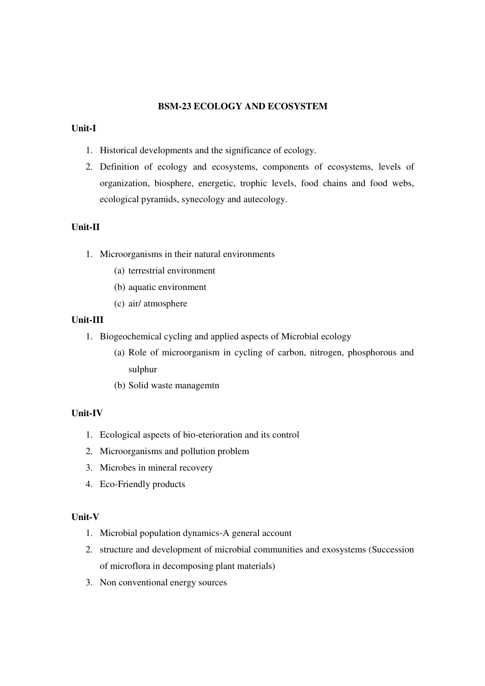# **BSM-23 ECOLOGY AND ECOSYSTEM**

### **Unit-I**

- 1. Historical developments and the significance of ecology.
- 2. Definition of ecology and ecosystems, components of ecosystems, levels of organization, biosphere, energetic, trophic levels, food chains and food webs, ecological pyramids, synecology and autecology.

# **Unit-II**

- 1. Microorganisms in their natural environments
	- (a) terrestrial environment
	- (b) aquatic environment
	- (c) air/ atmosphere

# **Unit-III**

- 1. Biogeochemical cycling and applied aspects of Microbial ecology
	- (a) Role of microorganism in cycling of carbon, nitrogen, phosphorous and sulphur
	- (b) Solid waste managemtn

# **Unit-IV**

- 1. Ecological aspects of bio-eterioration and its control
- 2. Microorganisms and pollution problem
- 3. Microbes in mineral recovery
- 4. Eco-Friendly products

- 1. Microbial population dynamics-A general account
- 2. structure and development of microbial communities and exosystems (Succession of microflora in decomposing plant materials)
- 3. Non conventional energy sources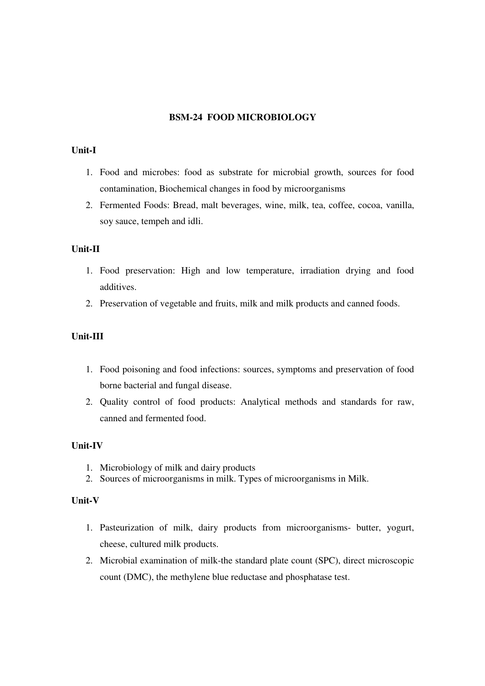# **BSM-24 FOOD MICROBIOLOGY**

#### **Unit-I**

- 1. Food and microbes: food as substrate for microbial growth, sources for food contamination, Biochemical changes in food by microorganisms
- 2. Fermented Foods: Bread, malt beverages, wine, milk, tea, coffee, cocoa, vanilla, soy sauce, tempeh and idli.

#### **Unit-II**

- 1. Food preservation: High and low temperature, irradiation drying and food additives.
- 2. Preservation of vegetable and fruits, milk and milk products and canned foods.

# **Unit-III**

- 1. Food poisoning and food infections: sources, symptoms and preservation of food borne bacterial and fungal disease.
- 2. Quality control of food products: Analytical methods and standards for raw, canned and fermented food.

#### **Unit-IV**

- 1. Microbiology of milk and dairy products
- 2. Sources of microorganisms in milk. Types of microorganisms in Milk.

- 1. Pasteurization of milk, dairy products from microorganisms- butter, yogurt, cheese, cultured milk products.
- 2. Microbial examination of milk-the standard plate count (SPC), direct microscopic count (DMC), the methylene blue reductase and phosphatase test.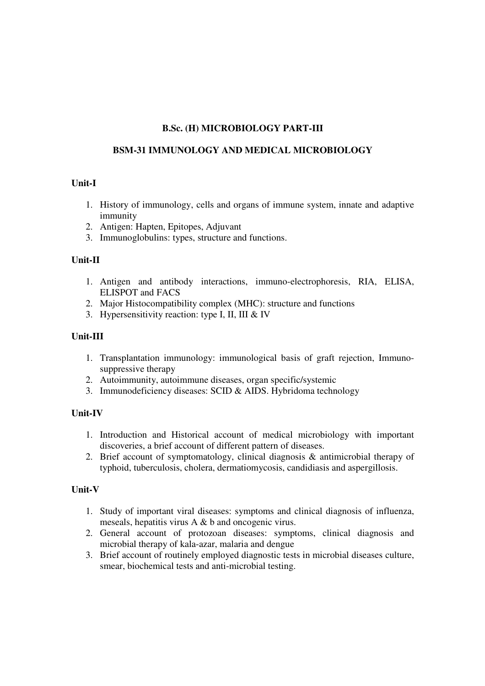# **B.Sc. (H) MICROBIOLOGY PART-III**

# **BSM-31 IMMUNOLOGY AND MEDICAL MICROBIOLOGY**

# **Unit-I**

- 1. History of immunology, cells and organs of immune system, innate and adaptive immunity
- 2. Antigen: Hapten, Epitopes, Adjuvant
- 3. Immunoglobulins: types, structure and functions.

# **Unit-II**

- 1. Antigen and antibody interactions, immuno-electrophoresis, RIA, ELISA, ELISPOT and FACS
- 2. Major Histocompatibility complex (MHC): structure and functions
- 3. Hypersensitivity reaction: type I, II, III & IV

# **Unit-III**

- 1. Transplantation immunology: immunological basis of graft rejection, Immunosuppressive therapy
- 2. Autoimmunity, autoimmune diseases, organ specific/systemic
- 3. Immunodeficiency diseases: SCID & AIDS. Hybridoma technology

# **Unit-IV**

- 1. Introduction and Historical account of medical microbiology with important discoveries, a brief account of different pattern of diseases.
- 2. Brief account of symptomatology, clinical diagnosis & antimicrobial therapy of typhoid, tuberculosis, cholera, dermatiomycosis, candidiasis and aspergillosis.

- 1. Study of important viral diseases: symptoms and clinical diagnosis of influenza, meseals, hepatitis virus A & b and oncogenic virus.
- 2. General account of protozoan diseases: symptoms, clinical diagnosis and microbial therapy of kala-azar, malaria and dengue
- 3. Brief account of routinely employed diagnostic tests in microbial diseases culture, smear, biochemical tests and anti-microbial testing.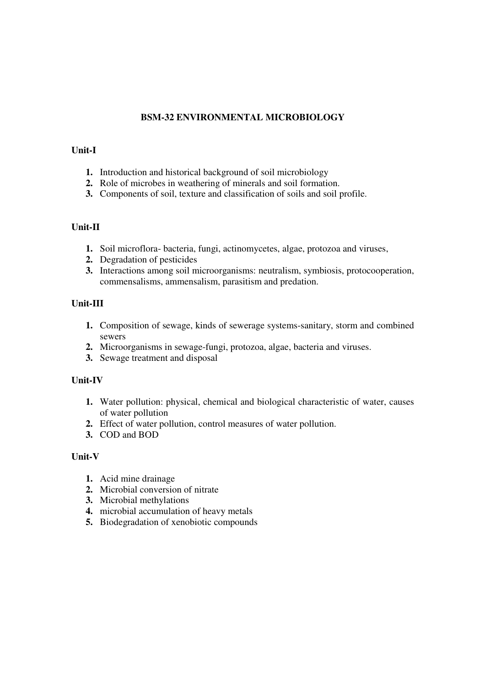# **BSM-32 ENVIRONMENTAL MICROBIOLOGY**

### **Unit-I**

- **1.** Introduction and historical background of soil microbiology
- **2.** Role of microbes in weathering of minerals and soil formation.
- **3.** Components of soil, texture and classification of soils and soil profile.

# **Unit-II**

- **1.** Soil microflora- bacteria, fungi, actinomycetes, algae, protozoa and viruses,
- **2.** Degradation of pesticides
- **3.** Interactions among soil microorganisms: neutralism, symbiosis, protocooperation, commensalisms, ammensalism, parasitism and predation.

# **Unit-III**

- **1.** Composition of sewage, kinds of sewerage systems-sanitary, storm and combined sewers
- **2.** Microorganisms in sewage-fungi, protozoa, algae, bacteria and viruses.
- **3.** Sewage treatment and disposal

# **Unit-IV**

- **1.** Water pollution: physical, chemical and biological characteristic of water, causes of water pollution
- **2.** Effect of water pollution, control measures of water pollution.
- **3.** COD and BOD

- **1.** Acid mine drainage
- **2.** Microbial conversion of nitrate
- **3.** Microbial methylations
- **4.** microbial accumulation of heavy metals
- **5.** Biodegradation of xenobiotic compounds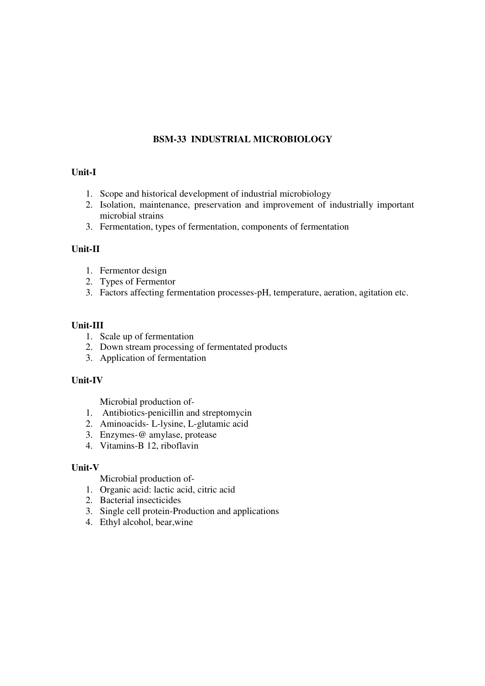# **BSM-33 INDUSTRIAL MICROBIOLOGY**

# **Unit-I**

- 1. Scope and historical development of industrial microbiology
- 2. Isolation, maintenance, preservation and improvement of industrially important microbial strains

3. Fermentation, types of fermentation, components of fermentation

# **Unit-II**

- 1. Fermentor design
- 2. Types of Fermentor
- 3. Factors affecting fermentation processes-pH, temperature, aeration, agitation etc.

# **Unit-III**

- 1. Scale up of fermentation
- 2. Down stream processing of fermentated products
- 3. Application of fermentation

# **Unit-IV**

Microbial production of-

- 1. Antibiotics-penicillin and streptomycin
- 2. Aminoacids- L-lysine, L-glutamic acid
- 3. Enzymes-@ amylase, protease
- 4. Vitamins-B 12, riboflavin

#### **Unit-V**

Microbial production of-

- 1. Organic acid: lactic acid, citric acid
- 2. Bacterial insecticides
- 3. Single cell protein-Production and applications
- 4. Ethyl alcohol, bear,wine